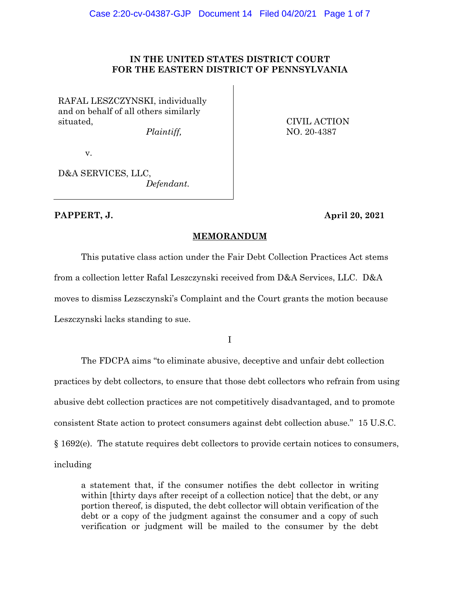# **IN THE UNITED STATES DISTRICT COURT FOR THE EASTERN DISTRICT OF PENNSYLVANIA**

RAFAL LESZCZYNSKI, individually and on behalf of all others similarly situated,

*Plaintiff,* 

CIVIL ACTION NO. 20-4387

v.

D&A SERVICES, LLC, *Defendant.*

**PAPPERT, J. April 20, 2021**

# **MEMORANDUM**

This putative class action under the Fair Debt Collection Practices Act stems from a collection letter Rafal Leszczynski received from D&A Services, LLC. D&A moves to dismiss Lezsczynski's Complaint and the Court grants the motion because Leszczynski lacks standing to sue.

I

The FDCPA aims "to eliminate abusive, deceptive and unfair debt collection practices by debt collectors, to ensure that those debt collectors who refrain from using abusive debt collection practices are not competitively disadvantaged, and to promote consistent State action to protect consumers against debt collection abuse." 15 U.S.C. § 1692(e). The statute requires debt collectors to provide certain notices to consumers, including

a statement that, if the consumer notifies the debt collector in writing within [thirty days after receipt of a collection notice] that the debt, or any portion thereof, is disputed, the debt collector will obtain verification of the debt or a copy of the judgment against the consumer and a copy of such verification or judgment will be mailed to the consumer by the debt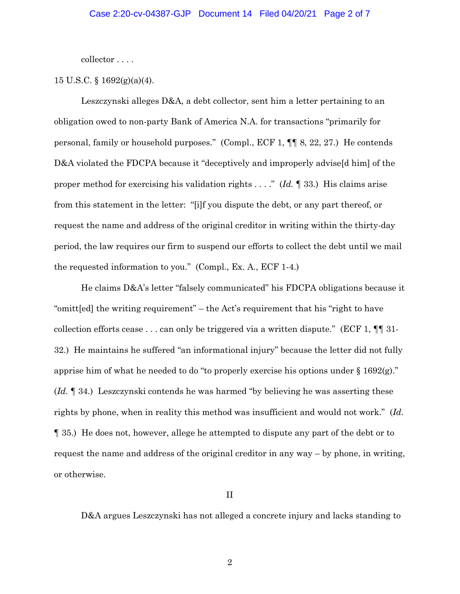collector . . . .

# 15 U.S.C. § 1692(g)(a)(4).

Leszczynski alleges D&A, a debt collector, sent him a letter pertaining to an obligation owed to non-party Bank of America N.A. for transactions "primarily for personal, family or household purposes." (Compl., ECF 1, ¶¶ 8, 22, 27.) He contends D&A violated the FDCPA because it "deceptively and improperly advise<sup>[d him]</sup> of the proper method for exercising his validation rights . . . ." (*Id.* ¶ 33.) His claims arise from this statement in the letter: "[i]f you dispute the debt, or any part thereof, or request the name and address of the original creditor in writing within the thirty-day period, the law requires our firm to suspend our efforts to collect the debt until we mail the requested information to you." (Compl., Ex. A., ECF 1-4.)

He claims D&A's letter "falsely communicated" his FDCPA obligations because it "omitt[ed] the writing requirement" – the Act's requirement that his "right to have collection efforts cease . . . can only be triggered via a written dispute." (ECF 1,  $\P$  1. 32.) He maintains he suffered "an informational injury" because the letter did not fully apprise him of what he needed to do "to properly exercise his options under § 1692(g)." (*Id.* ¶ 34.) Leszczynski contends he was harmed "by believing he was asserting these rights by phone, when in reality this method was insufficient and would not work." (*Id.* ¶ 35.) He does not, however, allege he attempted to dispute any part of the debt or to request the name and address of the original creditor in any way – by phone, in writing, or otherwise.

II

D&A argues Leszczynski has not alleged a concrete injury and lacks standing to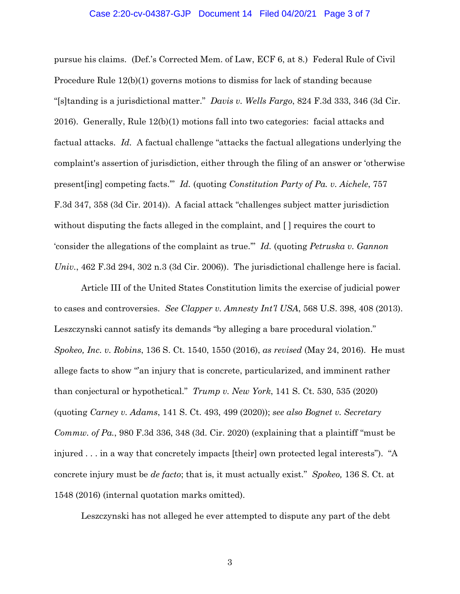#### Case 2:20-cv-04387-GJP Document 14 Filed 04/20/21 Page 3 of 7

pursue his claims. (Def.'s Corrected Mem. of Law, ECF 6, at 8.) Federal Rule of Civil Procedure Rule 12(b)(1) governs motions to dismiss for lack of standing because "[s]tanding is a jurisdictional matter." *Davis v. Wells Fargo*, 824 F.3d 333, 346 (3d Cir. 2016). Generally, Rule 12(b)(1) motions fall into two categories: facial attacks and factual attacks. *Id.* A factual challenge "attacks the factual allegations underlying the complaint's assertion of jurisdiction, either through the filing of an answer or 'otherwise present[ing] competing facts.'" *Id.* (quoting *Constitution Party of Pa. v. Aichele*, 757 F.3d 347, 358 (3d Cir. 2014)). A facial attack "challenges subject matter jurisdiction without disputing the facts alleged in the complaint, and [ ] requires the court to 'consider the allegations of the complaint as true.'" *Id.* (quoting *Petruska v. Gannon Univ.*, 462 F.3d 294, 302 n.3 (3d Cir. 2006)). The jurisdictional challenge here is facial.

Article III of the United States Constitution limits the exercise of judicial power to cases and controversies. *See Clapper v. Amnesty Int'l USA*, 568 U.S. 398, 408 (2013). Leszczynski cannot satisfy its demands "by alleging a bare procedural violation." *Spokeo, Inc. v. Robins*, 136 S. Ct. 1540, 1550 (2016), *as revised* (May 24, 2016). He must allege facts to show "an injury that is concrete, particularized, and imminent rather than conjectural or hypothetical." *Trump v. New York*, 141 S. Ct. 530, 535 (2020) (quoting *Carney v. Adams*, 141 S. Ct. 493, 499 (2020)); *see also Bognet v. Secretary Commw. of Pa.*, 980 F.3d 336, 348 (3d. Cir. 2020) (explaining that a plaintiff "must be injured . . . in a way that concretely impacts [their] own protected legal interests"). "A concrete injury must be *de facto*; that is, it must actually exist." *Spokeo,* 136 S. Ct. at 1548 (2016) (internal quotation marks omitted).

Leszczynski has not alleged he ever attempted to dispute any part of the debt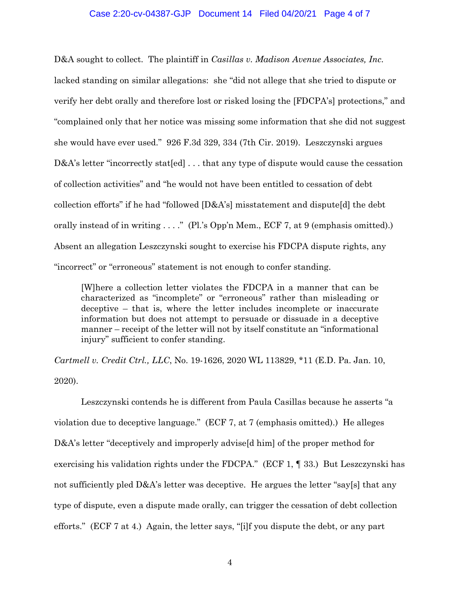### Case 2:20-cv-04387-GJP Document 14 Filed 04/20/21 Page 4 of 7

D&A sought to collect. The plaintiff in *Casillas v. Madison Avenue Associates, Inc.*  lacked standing on similar allegations: she "did not allege that she tried to dispute or verify her debt orally and therefore lost or risked losing the [FDCPA's] protections," and "complained only that her notice was missing some information that she did not suggest she would have ever used." 926 F.3d 329, 334 (7th Cir. 2019). Leszczynski argues D&A's letter "incorrectly stat [ed] ... that any type of dispute would cause the cessation of collection activities" and "he would not have been entitled to cessation of debt collection efforts" if he had "followed [D&A's] misstatement and dispute[d] the debt orally instead of in writing . . . ." (Pl.'s Opp'n Mem., ECF 7, at 9 (emphasis omitted).) Absent an allegation Leszczynski sought to exercise his FDCPA dispute rights, any "incorrect" or "erroneous" statement is not enough to confer standing.

[W]here a collection letter violates the FDCPA in a manner that can be characterized as "incomplete" or "erroneous" rather than misleading or deceptive – that is, where the letter includes incomplete or inaccurate information but does not attempt to persuade or dissuade in a deceptive manner – receipt of the letter will not by itself constitute an "informational injury" sufficient to confer standing.

*Cartmell v. Credit Ctrl., LLC*, No. 19-1626, 2020 WL 113829, \*11 (E.D. Pa. Jan. 10, 2020).

Leszczynski contends he is different from Paula Casillas because he asserts "a violation due to deceptive language." (ECF 7, at 7 (emphasis omitted).) He alleges D&A's letter "deceptively and improperly advise[d him] of the proper method for exercising his validation rights under the FDCPA." (ECF 1, ¶ 33.) But Leszczynski has not sufficiently pled  $D&A$ 's letter was deceptive. He argues the letter "say[s] that any type of dispute, even a dispute made orally, can trigger the cessation of debt collection efforts." (ECF 7 at 4.) Again, the letter says, "[i]f you dispute the debt, or any part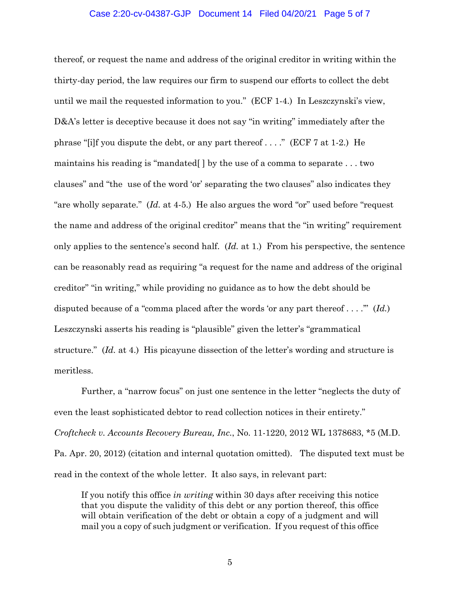#### Case 2:20-cv-04387-GJP Document 14 Filed 04/20/21 Page 5 of 7

thereof, or request the name and address of the original creditor in writing within the thirty-day period, the law requires our firm to suspend our efforts to collect the debt until we mail the requested information to you." (ECF 1-4.) In Leszczynski's view, D&A's letter is deceptive because it does not say "in writing" immediately after the phrase "[i]f you dispute the debt, or any part thereof . . . ." (ECF 7 at 1-2.) He maintains his reading is "mandated[ ] by the use of a comma to separate . . . two clauses" and "the use of the word 'or' separating the two clauses" also indicates they "are wholly separate." (*Id.* at 4-5.) He also argues the word "or" used before "request the name and address of the original creditor" means that the "in writing" requirement only applies to the sentence's second half. (*Id.* at 1.) From his perspective, the sentence can be reasonably read as requiring "a request for the name and address of the original creditor" "in writing," while providing no guidance as to how the debt should be disputed because of a "comma placed after the words 'or any part thereof . . . .'" (*Id.*) Leszczynski asserts his reading is "plausible" given the letter's "grammatical structure." (*Id.* at 4.) His picayune dissection of the letter's wording and structure is meritless.

Further, a "narrow focus" on just one sentence in the letter "neglects the duty of even the least sophisticated debtor to read collection notices in their entirety." *Croftcheck v. Accounts Recovery Bureau, Inc.*, No. 11-1220, 2012 WL 1378683, \*5 (M.D. Pa. Apr. 20, 2012) (citation and internal quotation omitted). The disputed text must be read in the context of the whole letter. It also says, in relevant part:

If you notify this office *in writing* within 30 days after receiving this notice that you dispute the validity of this debt or any portion thereof, this office will obtain verification of the debt or obtain a copy of a judgment and will mail you a copy of such judgment or verification. If you request of this office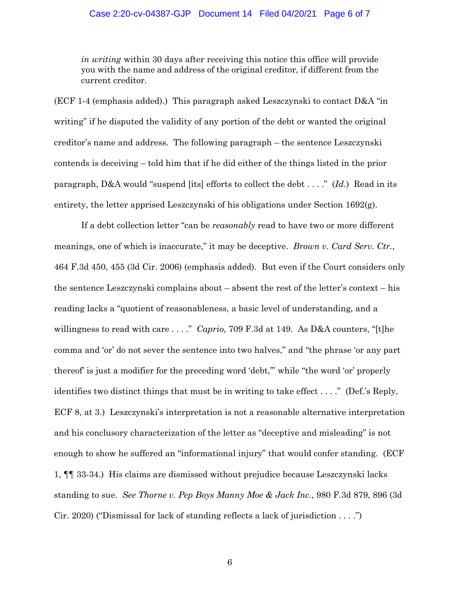# Case 2:20-cv-04387-GJP Document 14 Filed 04/20/21 Page 6 of 7

*in writing* within 30 days after receiving this notice this office will provide you with the name and address of the original creditor, if different from the current creditor.

(ECF 1-4 (emphasis added).) This paragraph asked Leszczynski to contact  $D&A$  "in writing" if he disputed the validity of any portion of the debt or wanted the original creditor's name and address. The following paragraph – the sentence Leszczynski contends is deceiving – told him that if he did either of the things listed in the prior paragraph, D&A would "suspend [its] efforts to collect the debt . . . ." (*Id.*) Read in its entirety, the letter apprised Leszczynski of his obligations under Section  $1692(g)$ .

If a debt collection letter "can be *reasonably* read to have two or more different meanings, one of which is inaccurate," it may be deceptive. *Brown v. Card Serv. Ctr.*, 464 F.3d 450, 455 (3d Cir. 2006) (emphasis added). But even if the Court considers only the sentence Leszczynski complains about – absent the rest of the letter's context – his reading lacks a "quotient of reasonableness, a basic level of understanding, and a willingness to read with care . . . ." *Caprio*, 709 F.3d at 149. As D&A counters, "[t]he comma and 'or' do not sever the sentence into two halves," and "the phrase 'or any part thereof' is just a modifier for the preceding word 'debt,'" while "the word 'or' properly identifies two distinct things that must be in writing to take effect . . . ." (Def.'s Reply, ECF 8, at 3.) Leszczynski's interpretation is not a reasonable alternative interpretation and his conclusory characterization of the letter as "deceptive and misleading" is not enough to show he suffered an "informational injury" that would confer standing. (ECF 1, ¶¶ 33-34.) His claims are dismissed without prejudice because Leszczynski lacks standing to sue. *See Thorne v. Pep Boys Manny Moe & Jack Inc.*, 980 F.3d 879, 896 (3d Cir. 2020) ("Dismissal for lack of standing reflects a lack of jurisdiction . . . .")